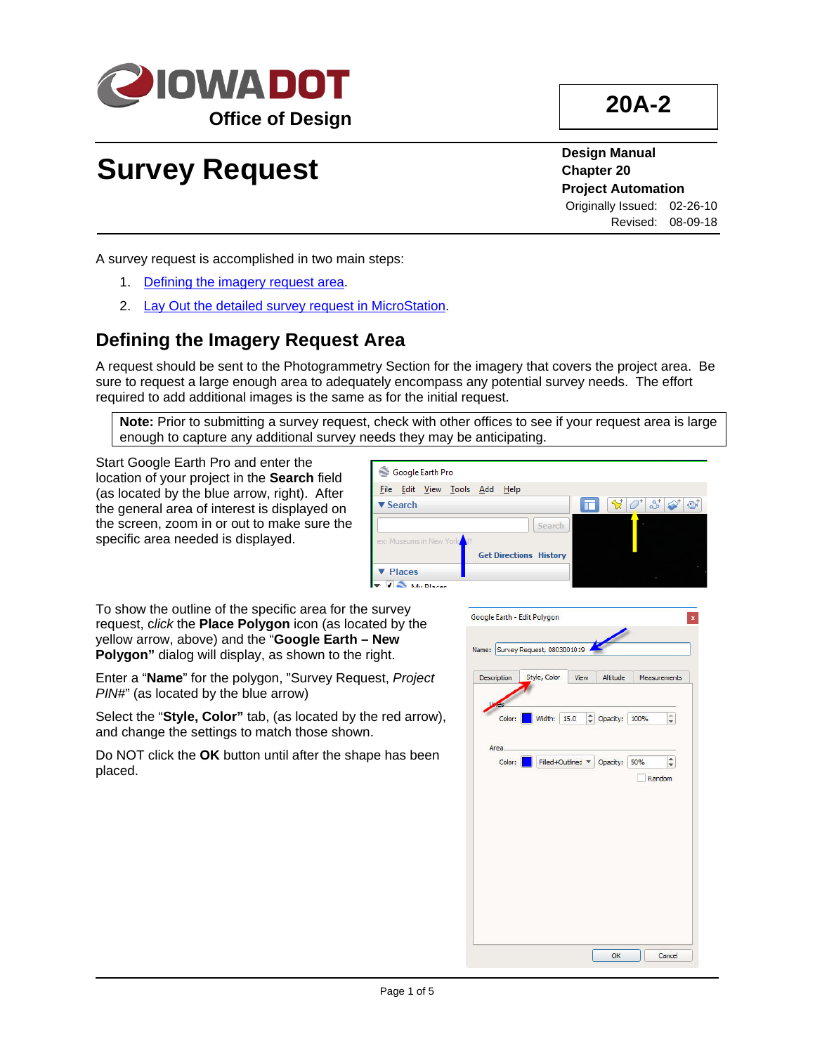

# **20A-2**

# **Survey Request**

**Design Manual Chapter 20 Project Automation** Originally Issued: 02-26-10 Revised: 08-09-18

A survey request is accomplished in two main steps:

- 1. [Defining the imagery request](#page-0-0) area.
- 2. [Lay Out the detailed survey request in MicroStation.](#page-3-0)

### <span id="page-0-0"></span>**Defining the Imagery Request Area**

A request should be sent to the Photogrammetry Section for the imagery that covers the project area. Be sure to request a large enough area to adequately encompass any potential survey needs. The effort required to add additional images is the same as for the initial request.

**Note:** Prior to submitting a survey request, check with other offices to see if your request area is large enough to capture any additional survey needs they may be anticipating.

Start Google Earth Pro and enter the location of your project in the **Search** field (as located by the blue arrow, right). After the general area of interest is displayed on the screen, zoom in or out to make sure the specific area needed is displayed.



To show the outline of the specific area for the survey request, c*lick* the **Place Polygon** icon (as located by the yellow arrow, above) and the "**Google Earth – New Polygon"** dialog will display, as shown to the right.

Enter a "**Name**" for the polygon, "Survey Request, *Project PIN#*" (as located by the blue arrow)

Select the "**Style, Color"** tab, (as located by the red arrow), and change the settings to match those shown.

Do NOT click the **OK** button until after the shape has been placed.

|                      | Style, Color       | View      | Altitude |      | <b>Measurements</b> |
|----------------------|--------------------|-----------|----------|------|---------------------|
| <b>res</b><br>Color: | Width:             | ÷<br>15.0 | Opacity: | 100% | $\hat{\bullet}$     |
| Area.<br>Color:      | Filled +Outlined V |           | Opacity: | 50%  | $\hat{\div}$        |
|                      |                    |           |          |      | Random              |
|                      |                    |           |          |      |                     |
|                      |                    |           |          |      |                     |
|                      |                    |           |          |      |                     |
|                      |                    |           |          |      |                     |
|                      |                    |           |          |      |                     |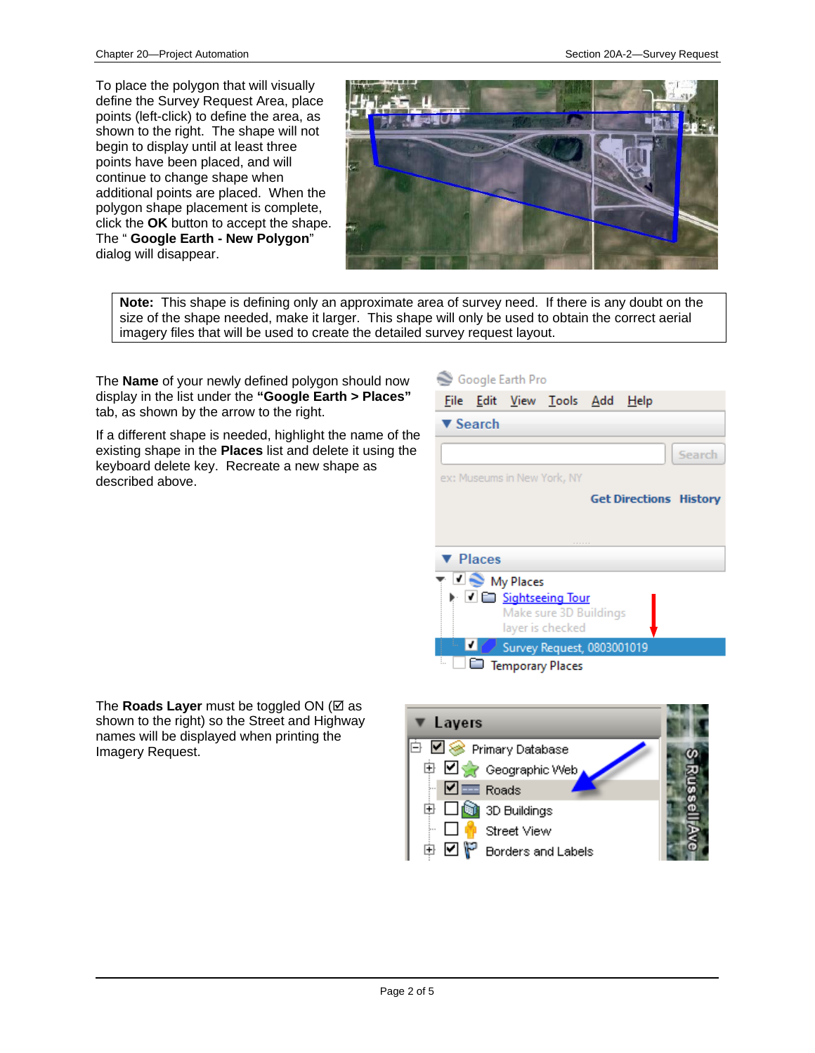To place the polygon that will visually define the Survey Request Area, place points (left-click) to define the area, as shown to the right. The shape will not begin to display until at least three points have been placed, and will continue to change shape when additional points are placed. When the polygon shape placement is complete, click the **OK** button to accept the shape. The " **Google Earth - New Polygon**" dialog will disappear.



**Note:** This shape is defining only an approximate area of survey need. If there is any doubt on the size of the shape needed, make it larger. This shape will only be used to obtain the correct aerial imagery files that will be used to create the detailed survey request layout.

The **Name** of your newly defined polygon should now display in the list under the **"Google Earth > Places"**  tab, as shown by the arrow to the right.

If a different shape is needed, highlight the name of the existing shape in the **Places** list and delete it using the keyboard delete key. Recreate a new shape as described above.

## Google Earth Pro

|                             |                                   | <u>File Edit View Tools A</u> dd <u>H</u> elp |                               |        |
|-----------------------------|-----------------------------------|-----------------------------------------------|-------------------------------|--------|
| $\blacktriangledown$ Search |                                   |                                               |                               |        |
|                             |                                   |                                               |                               | Search |
|                             |                                   | ex: Museums in New York, NY                   |                               |        |
|                             |                                   |                                               | <b>Get Directions History</b> |        |
|                             |                                   |                                               |                               |        |
|                             |                                   |                                               |                               |        |
| ▼ Places                    |                                   |                                               |                               |        |
|                             | $\mathbb{Z} \bigotimes$ My Places |                                               |                               |        |
|                             |                                   | le V E Sightseeing Tour                       |                               |        |
|                             |                                   | Make sure 3D Buildings                        |                               |        |
|                             |                                   | layer is checked                              |                               |        |
|                             |                                   | Survey Request, 0803001019                    |                               |        |
|                             |                                   | <b>Temporary Places</b>                       |                               |        |
|                             |                                   |                                               |                               |        |

The **Roads Layer** must be toggled ON ( $\times$  as shown to the right) so the Street and Highway names will be displayed when printing the Imagery Request.

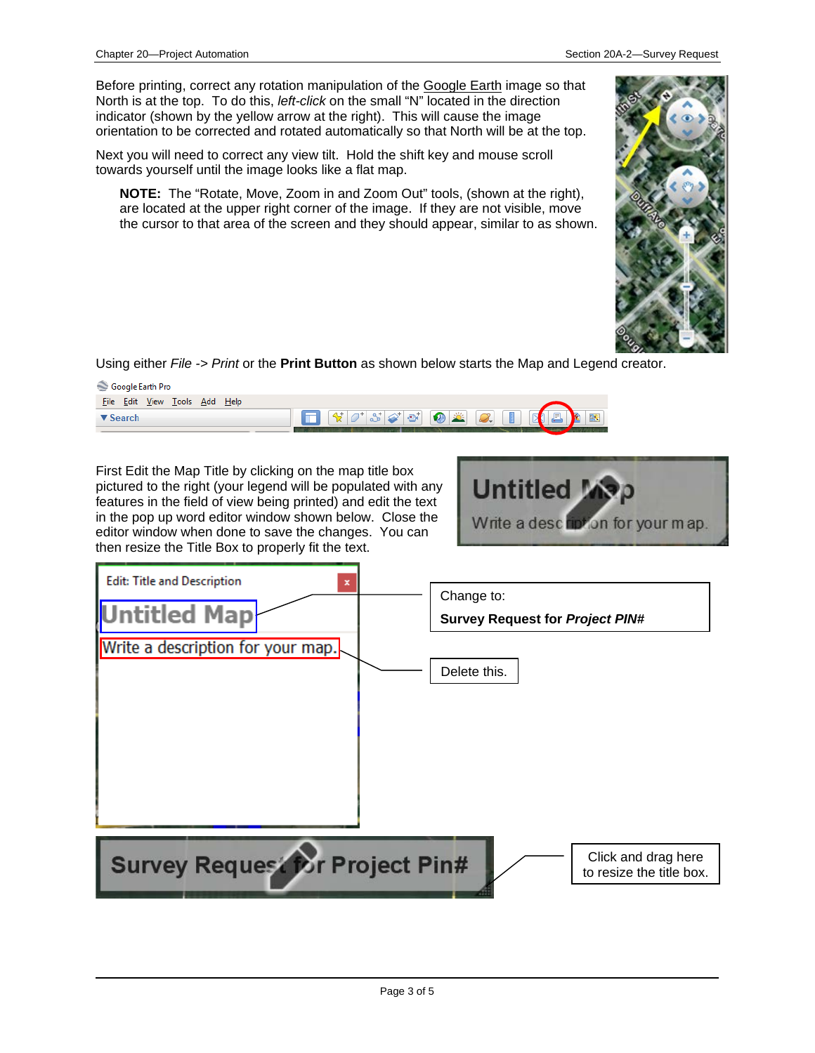Before printing, correct any rotation manipulation of the Google Earth image so that North is at the top. To do this, *left-click* on the small "N" located in the direction indicator (shown by the yellow arrow at the right). This will cause the image orientation to be corrected and rotated automatically so that North will be at the top.

Next you will need to correct any view tilt. Hold the shift key and mouse scroll towards yourself until the image looks like a flat map.

**NOTE:** The "Rotate, Move, Zoom in and Zoom Out" tools, (shown at the right), are located at the upper right corner of the image. If they are not visible, move the cursor to that area of the screen and they should appear, similar to as shown.



Using either *File -> Print* or the **Print Button** as shown below starts the Map and Legend creator.

| Edit <u>V</u> iew<br>- File<br><u>T</u> ools <u>A</u> dd <u>H</u> elp<br>$\mathbb{R}$<br>$ \mathcal{Y} \mathcal{O}^* \mathcal{S}  \mathcal{O} \mathcal{O} $ (0) $\mathcal{Z}$ $ \mathcal{O} $<br>$\mathbb{R}$<br>蕨<br>日<br><b>B</b><br>▼ Search | Google Earth Pro |  |
|-------------------------------------------------------------------------------------------------------------------------------------------------------------------------------------------------------------------------------------------------|------------------|--|
|                                                                                                                                                                                                                                                 |                  |  |
|                                                                                                                                                                                                                                                 |                  |  |

First Edit the Map Title by clicking on the map title box pictured to the right (your legend will be populated with any features in the field of view being printed) and edit the text in the pop up word editor window shown below. Close the editor window when done to save the changes. You can then resize the Title Box to properly fit the text.



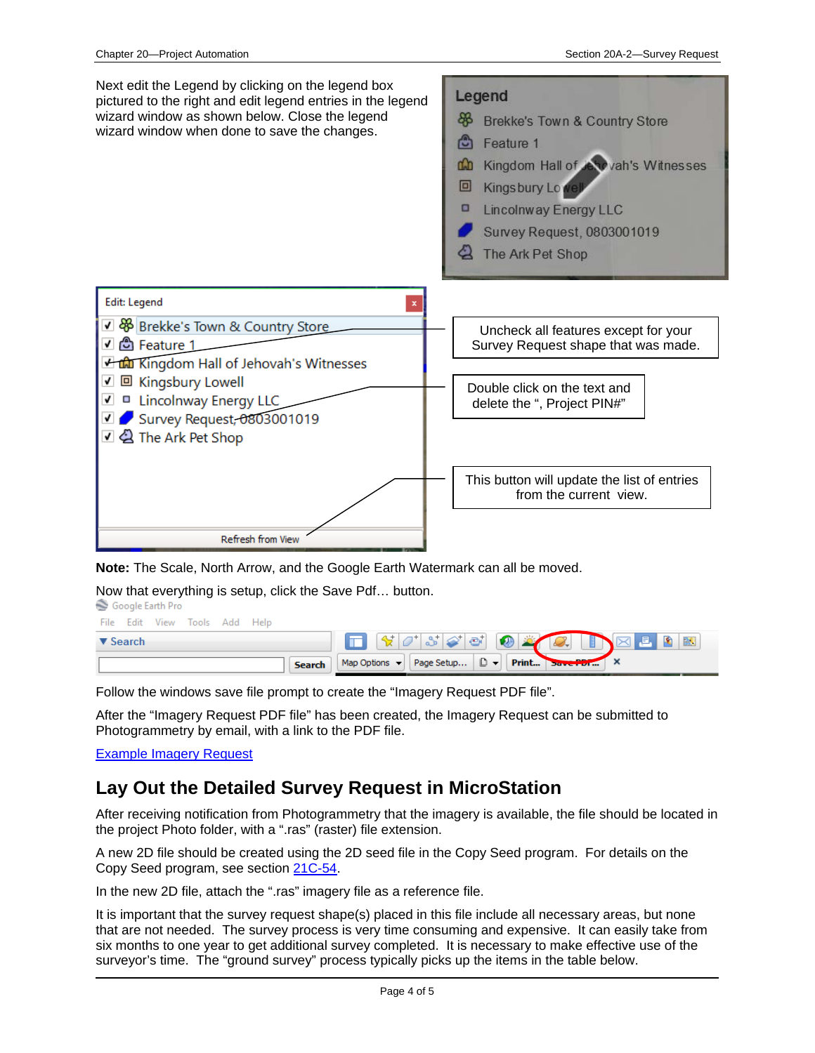

**Note:** The Scale, North Arrow, and the Google Earth Watermark can all be moved.

Now that everything is setup, click the Save Pdf... button.<br>
Socale Earth Pro

| File Edit View Tools Add Help |                                               |
|-------------------------------|-----------------------------------------------|
| $\blacktriangledown$ Search   |                                               |
| Search                        | Map Options v Page Setup D v Print Save PDI X |

Follow the windows save file prompt to create the "Imagery Request PDF file".

After the "Imagery Request PDF file" has been created, the Imagery Request can be submitted to Photogrammetry by email, with a link to the PDF file.

Example Imagery Request

#### <span id="page-3-0"></span>**Lay Out the Detailed Survey Request in MicroStation**

After receiving notification from Photogrammetry that the imagery is available, the file should be located in the project Photo folder, with a ".ras" (raster) file extension.

A new 2D file should be created using the 2D seed file in the Copy Seed program. For details on the Copy Seed program, see section 21C-54.

In the new 2D file, attach the ".ras" imagery file as a reference file.

It is important that the survey request shape(s) placed in this file include all necessary areas, but none that are not needed. The survey process is very time consuming and expensive. It can easily take from six months to one year to get additional survey completed. It is necessary to make effective use of the surveyor's time. The "ground survey" process typically picks up the items in the table below.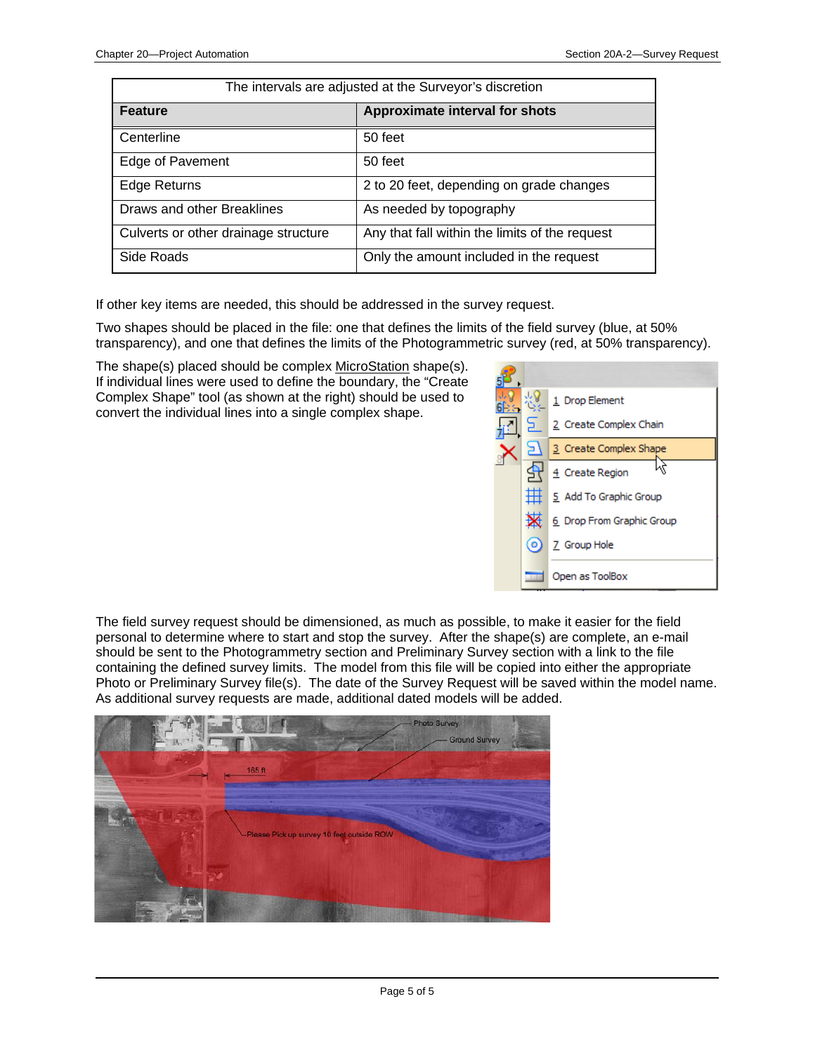| The intervals are adjusted at the Surveyor's discretion |                                                |  |  |
|---------------------------------------------------------|------------------------------------------------|--|--|
| <b>Feature</b>                                          | <b>Approximate interval for shots</b>          |  |  |
| Centerline                                              | 50 feet                                        |  |  |
| Edge of Pavement                                        | 50 feet                                        |  |  |
| <b>Edge Returns</b>                                     | 2 to 20 feet, depending on grade changes       |  |  |
| Draws and other Breaklines                              | As needed by topography                        |  |  |
| Culverts or other drainage structure                    | Any that fall within the limits of the request |  |  |
| Side Roads                                              | Only the amount included in the request        |  |  |

If other key items are needed, this should be addressed in the survey request.

Two shapes should be placed in the file: one that defines the limits of the field survey (blue, at 50% transparency), and one that defines the limits of the Photogrammetric survey (red, at 50% transparency).

The shape(s) placed should be complex MicroStation shape(s). If individual lines were used to define the boundary, the "Create Complex Shape" tool (as shown at the right) should be used to convert the individual lines into a single complex shape.



The field survey request should be dimensioned, as much as possible, to make it easier for the field personal to determine where to start and stop the survey. After the shape(s) are complete, an e-mail should be sent to the Photogrammetry section and Preliminary Survey section with a link to the file containing the defined survey limits. The model from this file will be copied into either the appropriate Photo or Preliminary Survey file(s). The date of the Survey Request will be saved within the model name. As additional survey requests are made, additional dated models will be added.